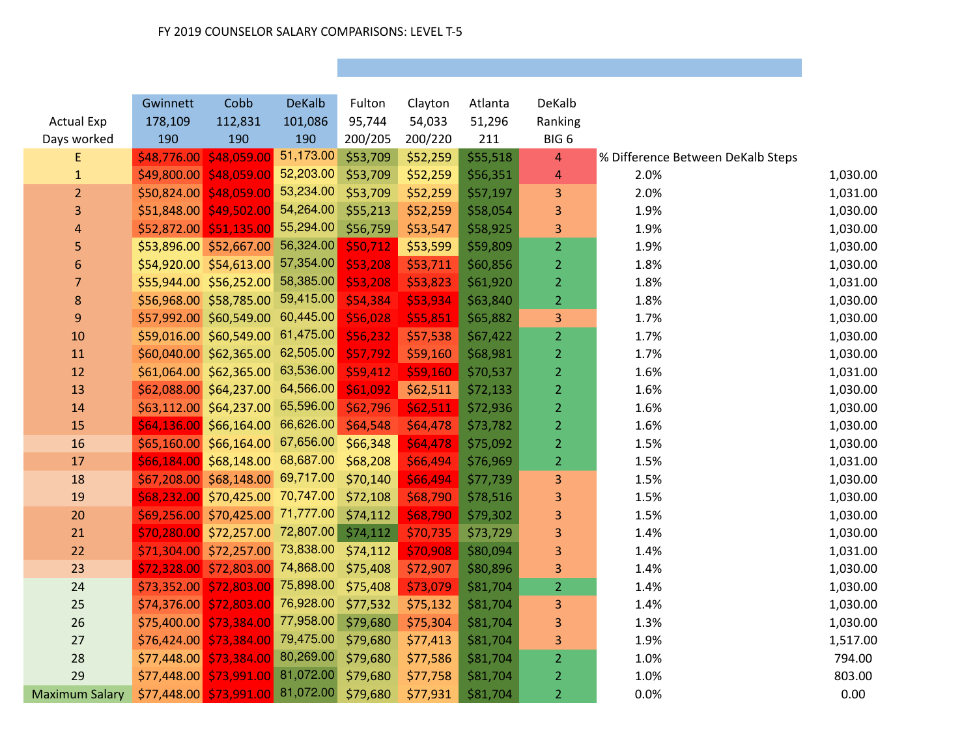|                       | Gwinnett    | Cobb                               | <b>DeKalb</b> | Fulton   | Clayton  | Atlanta  | DeKalb           |                                   |          |
|-----------------------|-------------|------------------------------------|---------------|----------|----------|----------|------------------|-----------------------------------|----------|
| <b>Actual Exp</b>     | 178,109     | 112,831                            | 101,086       | 95,744   | 54,033   | 51,296   | Ranking          |                                   |          |
| Days worked           | 190         | 190                                | 190           | 200/205  | 200/220  | 211      | BIG <sub>6</sub> |                                   |          |
| E                     | \$48,776.00 | \$48,059.00 51,173.00              |               | \$53,709 | \$52,259 | \$55,518 | 4                | % Difference Between DeKalb Steps |          |
| $\mathbf{1}$          |             | $$49,800.00$ $$48,059.00$          | 52,203.00     | \$53,709 | \$52,259 | \$56,351 | 4                | 2.0%                              | 1,030.00 |
| $\overline{2}$        | \$50,824.00 | 548,059.00                         | 53,234.00     | \$53,709 | \$52,259 | \$57,197 | 3                | 2.0%                              | 1,031.00 |
| 3                     |             | \$51,848.00 \$49,502.00            | 54,264.00     | \$55,213 | \$52,259 | \$58,054 | 3                | 1.9%                              | 1,030.00 |
| 4                     |             | \$52,872.00 \$51,135.00 55,294.00  |               | \$56,759 | \$53,547 | \$58,925 | 3                | 1.9%                              | 1,030.00 |
| 5                     |             | \$53,896.00 \$52,667.00 56,324.00  |               | \$50,712 | \$53,599 | \$59,809 | $\overline{2}$   | 1.9%                              | 1,030.00 |
| 6                     |             | \$54,920.00 \$54,613.00            | 57,354.00     | \$53,208 | \$53,711 | \$60,856 | $\overline{2}$   | 1.8%                              | 1,030.00 |
| $\overline{7}$        |             | \$55,944.00 \$56,252.00            | 58,385.00     | \$53,208 | \$53,823 | \$61,920 | $\overline{2}$   | 1.8%                              | 1,031.00 |
| $\bf 8$               |             | \$56,968.00 \$58,785.00 59,415.00  |               | \$54,384 | \$53,934 | \$63,840 | 2 <sup>1</sup>   | 1.8%                              | 1,030.00 |
| $\boldsymbol{9}$      |             | \$57,992.00 \$60,549.00 60,445.00  |               | \$56,028 | \$55,851 | \$65,882 | 3                | 1.7%                              | 1,030.00 |
| 10                    |             | \$59,016.00 \$60,549.00 61,475.00  |               | \$56,232 | \$57,538 | \$67,422 | $\overline{2}$   | 1.7%                              | 1,030.00 |
| 11                    |             | \$60,040.00 \$62,365.00 62,505.00  |               | \$57,792 | \$59,160 | \$68,981 | $\overline{2}$   | 1.7%                              | 1,030.00 |
| 12                    |             | \$61,064.00 \$62,365.00 63,536.00  |               | \$59,412 | \$59,160 | \$70,537 | $\overline{2}$   | 1.6%                              | 1,031.00 |
| 13                    |             | \$62,088.00 \$64,237.00 64,566.00  |               | \$61,092 | \$62,511 | \$72,133 | $\overline{2}$   | 1.6%                              | 1,030.00 |
| 14                    |             | \$63,112.00 \$64,237.00 65,596.00  |               | \$62,796 | \$62,511 | \$72,936 | $\overline{2}$   | 1.6%                              | 1,030.00 |
| 15                    |             | $$64,136.00$ \$66,164.00 66,626.00 |               | \$64,548 | \$64,478 | \$73,782 | $\overline{2}$   | 1.6%                              | 1,030.00 |
| 16                    |             | \$65,160.00 \$66,164.00 67,656.00  |               | \$66,348 | \$64,478 | \$75,092 | $\overline{2}$   | 1.5%                              | 1,030.00 |
| 17                    |             | \$66,184.00 \$68,148.00 68,687.00  |               | \$68,208 | \$66,494 | \$76,969 | $\overline{2}$   | 1.5%                              | 1,031.00 |
| 18                    |             | \$67,208.00 \$68,148.00 69,717.00  |               | \$70,140 | \$66,494 | \$77,739 | 3                | 1.5%                              | 1,030.00 |
| 19                    | \$68,232.00 | \$70,425.00 70,747.00              |               | \$72,108 | \$68,790 | \$78,516 | 3                | 1.5%                              | 1,030.00 |
| 20                    |             | \$69,256.00 \$70,425.00 71,777.00  |               | \$74,112 | \$68,790 | \$79,302 | 3                | 1.5%                              | 1,030.00 |
| 21                    |             | \$70,280.00 \$72,257.00 72,807.00  |               | \$74,112 | \$70,735 | \$73,729 | 3                | 1.4%                              | 1,030.00 |
| 22                    |             | \$71,304.00 \$72,257.00 73,838.00  |               | \$74,112 | \$70,908 | \$80,094 | 3                | 1.4%                              | 1,031.00 |
| 23                    |             | \$72,328.00 \$72,803.00 74,868.00  |               | \$75,408 | \$72,907 | \$80,896 | 3                | 1.4%                              | 1,030.00 |
| 24                    |             | \$73,352.00 \$72,803.00 75,898.00  |               | \$75,408 | \$73,079 | \$81,704 | $\overline{2}$   | 1.4%                              | 1,030.00 |
| 25                    |             | \$74,376.00 \$72,803.00 76,928.00  |               | \$77,532 | \$75,132 | \$81,704 | 3                | 1.4%                              | 1,030.00 |
| 26                    | \$75,400.00 | \$73,384.00 77,958.00              |               | \$79,680 | \$75,304 | \$81,704 | 3                | 1.3%                              | 1,030.00 |
| 27                    | \$76,424.00 | \$73,384.00 79,475.00              |               | \$79,680 | \$77,413 | \$81,704 | 3                | 1.9%                              | 1,517.00 |
| 28                    | \$77,448.00 | $$73,384.00$ 80,269.00             |               | \$79,680 | \$77,586 | \$81,704 | $\overline{2}$   | 1.0%                              | 794.00   |
| 29                    | \$77,448.00 | \$73,991.00 81,072.00              |               | \$79,680 | \$77,758 | \$81,704 | $\overline{2}$   | 1.0%                              | 803.00   |
| <b>Maximum Salary</b> |             | \$77,448.00 \$73,991.00 81,072.00  |               | \$79,680 | \$77,931 | \$81,704 | $\overline{2}$   | 0.0%                              | 0.00     |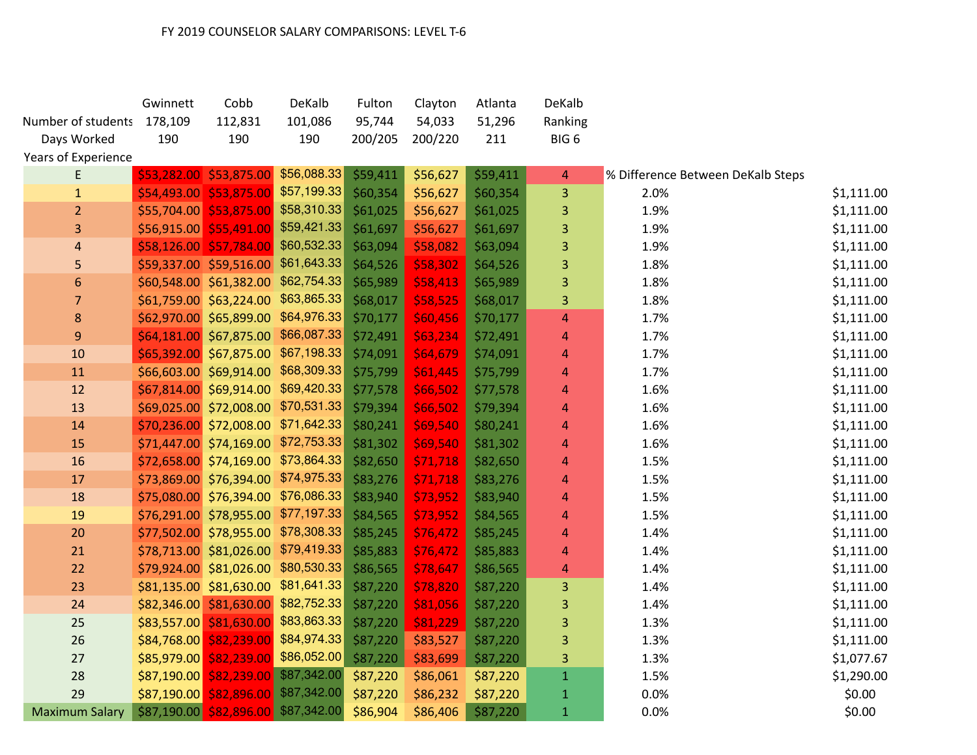|                            | Gwinnett | Cobb                                | DeKalb      | Fulton   | Clayton  | Atlanta  | DeKalb                  |                                   |            |
|----------------------------|----------|-------------------------------------|-------------|----------|----------|----------|-------------------------|-----------------------------------|------------|
| Number of students 178,109 |          | 112,831                             | 101,086     | 95,744   | 54,033   | 51,296   | Ranking                 |                                   |            |
| Days Worked                | 190      | 190                                 | 190         | 200/205  | 200/220  | 211      | BIG <sub>6</sub>        |                                   |            |
| Years of Experience        |          |                                     |             |          |          |          |                         |                                   |            |
| E                          |          | \$53,282.00 \$53,875.00             | \$56,088.33 | \$59,411 | \$56,627 | \$59,411 | 4                       | % Difference Between DeKalb Steps |            |
| $\mathbf{1}$               |          | \$54,493.00 \$53,875.00 \$57,199.33 |             | \$60,354 | \$56,627 | \$60,354 | 3                       | 2.0%                              | \$1,111.00 |
| $\overline{2}$             |          | \$55,704.00 \$53,875.00 \$58,310.33 |             | \$61,025 | \$56,627 | \$61,025 | 3                       | 1.9%                              | \$1,111.00 |
| 3                          |          | \$56,915.00 \$55,491.00 \$59,421.33 |             | \$61,697 | \$56,627 | \$61,697 | 3                       | 1.9%                              | \$1,111.00 |
| 4                          |          | \$58,126.00 \$57,784.00 \$60,532.33 |             | \$63,094 | \$58,082 | \$63,094 | 3                       | 1.9%                              | \$1,111.00 |
| 5                          |          | \$59,337.00 \$59,516.00 \$61,643.33 |             | \$64,526 | \$58,302 | \$64,526 | 3                       | 1.8%                              | \$1,111.00 |
| 6                          |          | \$60,548.00 \$61,382.00 \$62,754.33 |             | \$65,989 | \$58,413 | \$65,989 | 3                       | 1.8%                              | \$1,111.00 |
| $\overline{7}$             |          | \$61,759.00 \$63,224.00 \$63,865.33 |             | \$68,017 | \$58,525 | \$68,017 | 3                       | 1.8%                              | \$1,111.00 |
| 8                          |          | \$62,970.00 \$65,899.00 \$64,976.33 |             | \$70,177 | \$60,456 | \$70,177 | $\overline{4}$          | 1.7%                              | \$1,111.00 |
| $\overline{9}$             |          | $$64,181.00$ \$67,875.00            | \$66,087.33 | \$72,491 | \$63,234 | \$72,491 | $\overline{4}$          | 1.7%                              | \$1,111.00 |
| 10                         |          | \$65,392.00 \$67,875.00 \$67,198.33 |             | \$74,091 | \$64,679 | \$74,091 | $\overline{4}$          | 1.7%                              | \$1,111.00 |
| 11                         |          | \$66,603.00 \$69,914.00 \$68,309.33 |             | \$75,799 | \$61,445 | \$75,799 | 4                       | 1.7%                              | \$1,111.00 |
| 12                         |          | \$67,814.00 \$69,914.00 \$69,420.33 |             | \$77,578 | \$66,502 | \$77,578 | 4                       | 1.6%                              | \$1,111.00 |
| 13                         |          | \$69,025.00 \$72,008.00 \$70,531.33 |             | \$79,394 | \$66,502 | \$79,394 | $\overline{4}$          | 1.6%                              | \$1,111.00 |
| 14                         |          | \$70,236.00 \$72,008.00 \$71,642.33 |             | \$80,241 | \$69,540 | \$80,241 | $\overline{\mathbf{4}}$ | 1.6%                              | \$1,111.00 |
| 15                         |          | \$71,447.00 \$74,169.00 \$72,753.33 |             | \$81,302 | \$69,540 | \$81,302 | $\overline{4}$          | 1.6%                              | \$1,111.00 |
| 16                         |          | \$72,658.00 \$74,169.00 \$73,864.33 |             | \$82,650 | \$71,718 | \$82,650 | 4                       | 1.5%                              | \$1,111.00 |
| 17                         |          | \$73,869.00 \$76,394.00 \$74,975.33 |             | \$83,276 | \$71,718 | \$83,276 | $\overline{4}$          | 1.5%                              | \$1,111.00 |
| 18                         |          | \$75,080.00 \$76,394.00 \$76,086.33 |             | \$83,940 | \$73,952 | \$83,940 | 4                       | 1.5%                              | \$1,111.00 |
| 19                         |          | \$76,291.00 \$78,955.00 \$77,197.33 |             | \$84,565 | \$73,952 | \$84,565 | 4                       | 1.5%                              | \$1,111.00 |
| 20                         |          | \$77,502.00 \$78,955.00 \$78,308.33 |             | \$85,245 | \$76,472 | \$85,245 | 4                       | 1.4%                              | \$1,111.00 |
| 21                         |          | \$78,713.00 \$81,026.00 \$79,419.33 |             | \$85,883 | \$76,472 | \$85,883 | $\overline{\mathbf{4}}$ | 1.4%                              | \$1,111.00 |
| 22                         |          | \$79,924.00 \$81,026.00             | \$80,530.33 | \$86,565 | \$78,647 | \$86,565 | 4                       | 1.4%                              | \$1,111.00 |
| 23                         |          | \$81,135.00 \$81,630.00             | \$81,641.33 | \$87,220 | \$78,820 | \$87,220 | 3                       | 1.4%                              | \$1,111.00 |
| 24                         |          | \$82,346.00 \$81,630.00             | \$82,752.33 | \$87,220 | \$81,056 | \$87,220 | 3                       | 1.4%                              | \$1,111.00 |
| 25                         |          | \$83,557.00 \$81,630.00             | \$83,863.33 | \$87,220 | \$81,229 | \$87,220 | 3                       | 1.3%                              | \$1,111.00 |
| 26                         |          | $$84,768.00$ $$82,239.00$           | \$84,974.33 | \$87,220 | \$83,527 | \$87,220 | 3                       | 1.3%                              | \$1,111.00 |
| 27                         |          | \$85,979.00 \$82,239.00 \$86,052.00 |             | \$87,220 | \$83,699 | \$87,220 | 3                       | 1.3%                              | \$1,077.67 |
| 28                         |          | \$87,190.00 \$82,239.00 \$87,342.00 |             | \$87,220 | \$86,061 | \$87,220 | $\mathbf 1$             | 1.5%                              | \$1,290.00 |
| 29                         |          | \$87,190.00 \$82,896.00 \$87,342.00 |             | \$87,220 | \$86,232 | \$87,220 | $\mathbf 1$             | 0.0%                              | \$0.00     |
| <b>Maximum Salary</b>      |          | \$87,190.00 \$82,896.00 \$87,342.00 |             | \$86,904 | \$86,406 | \$87,220 | $\mathbf{1}$            | 0.0%                              | \$0.00     |